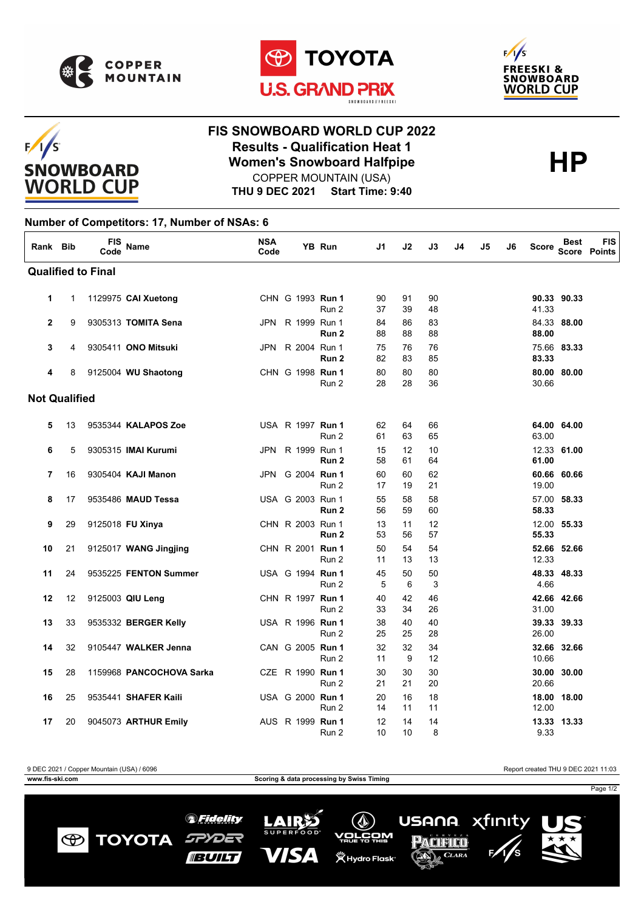

 $F/I/S$ 

**SNOWBOARD WORLD CUP** 





## **FIS SNOWBOARD WORLD CUP 2022 Results - Qualification Heat 1**<br>
Women's Snowboard Halfpipe<br>
COPPER MOUNTAIN (USA) COPPER MOUNTAIN (USA)

**THU 9 DEC 2021 Start Time: 9:40**

## **Number of Competitors: 17, Number of NSAs: 6**

| Rank Bib             |    | FIS<br>Code               | Name                       | <b>NSA</b><br>Code |                         | YB Run | J1       | J2       | J3       | J4 | J5 | J6 | Score          | <b>Best</b> | FIS<br>Score Points |
|----------------------|----|---------------------------|----------------------------|--------------------|-------------------------|--------|----------|----------|----------|----|----|----|----------------|-------------|---------------------|
|                      |    | <b>Qualified to Final</b> |                            |                    |                         |        |          |          |          |    |    |    |                |             |                     |
| 1                    | 1  |                           | 1129975 CAI Xuetong        |                    | CHN G 1993 Run 1        | Run 2  | 90<br>37 | 91<br>39 | 90<br>48 |    |    |    | 41.33          | 90.33 90.33 |                     |
| $\mathbf{2}$         | 9  |                           | 9305313 TOMITA Sena        |                    | JPN R 1999 Run 1        | Run 2  | 84<br>88 | 86<br>88 | 83<br>88 |    |    |    | 88.00          | 84.33 88.00 |                     |
| 3                    | 4  |                           | 9305411 ONO Mitsuki        |                    | JPN R 2004 Run 1        | Run 2  | 75<br>82 | 76<br>83 | 76<br>85 |    |    |    | 83.33          | 75.66 83.33 |                     |
| 4                    | 8  |                           | 9125004 WU Shaotong        |                    | CHN G 1998 Run 1        | Run 2  | 80<br>28 | 80<br>28 | 80<br>36 |    |    |    | 30.66          | 80.00 80.00 |                     |
| <b>Not Qualified</b> |    |                           |                            |                    |                         |        |          |          |          |    |    |    |                |             |                     |
| 5                    | 13 |                           | 9535344 KALAPOS Zoe        |                    | USA R 1997 <b>Run 1</b> | Run 2  | 62<br>61 | 64<br>63 | 66<br>65 |    |    |    | 63.00          | 64.00 64.00 |                     |
| 6                    | 5  |                           | 9305315 <b>IMAI Kurumi</b> |                    | JPN R 1999 Run 1        | Run 2  | 15<br>58 | 12<br>61 | 10<br>64 |    |    |    | 61.00          | 12.33 61.00 |                     |
| 7                    | 16 |                           | 9305404 KAJI Manon         |                    | JPN G 2004 Run 1        | Run 2  | 60<br>17 | 60<br>19 | 62<br>21 |    |    |    | 19.00          | 60.66 60.66 |                     |
| 8                    | 17 |                           | 9535486 MAUD Tessa         |                    | USA G 2003 Run 1        | Run 2  | 55<br>56 | 58<br>59 | 58<br>60 |    |    |    | 57.00<br>58.33 | 58.33       |                     |
| 9                    | 29 |                           | 9125018 FU Xinya           |                    | CHN R 2003 Run 1        | Run 2  | 13<br>53 | 11<br>56 | 12<br>57 |    |    |    | 55.33          | 12.00 55.33 |                     |
| 10                   | 21 |                           | 9125017 WANG Jingjing      |                    | CHN R 2001 Run 1        | Run 2  | 50<br>11 | 54<br>13 | 54<br>13 |    |    |    | 12.33          | 52.66 52.66 |                     |
| 11                   | 24 |                           | 9535225 FENTON Summer      |                    | USA G 1994 Run 1        | Run 2  | 45<br>5  | 50<br>6  | 50<br>3  |    |    |    | 4.66           | 48.33 48.33 |                     |
| 12                   | 12 |                           | 9125003 QIU Leng           |                    | CHN R 1997 Run 1        | Run 2  | 40<br>33 | 42<br>34 | 46<br>26 |    |    |    | 31.00          | 42.66 42.66 |                     |
| 13                   | 33 |                           | 9535332 BERGER Kelly       |                    | USA R 1996 Run 1        | Run 2  | 38<br>25 | 40<br>25 | 40<br>28 |    |    |    | 26.00          | 39.33 39.33 |                     |
| 14                   | 32 |                           | 9105447 WALKER Jenna       |                    | CAN G 2005 Run 1        | Run 2  | 32<br>11 | 32<br>9  | 34<br>12 |    |    |    | 10.66          | 32.66 32.66 |                     |
| 15                   | 28 |                           | 1159968 PANCOCHOVA Sarka   |                    | CZE R 1990 Run 1        | Run 2  | 30<br>21 | 30<br>21 | 30<br>20 |    |    |    | 20.66          | 30.00 30.00 |                     |
| 16                   | 25 |                           | 9535441 SHAFER Kaili       |                    | USA G 2000 Run 1        | Run 2  | 20<br>14 | 16<br>11 | 18<br>11 |    |    |    | 18.00<br>12.00 | 18.00       |                     |
| 17                   | 20 |                           | 9045073 ARTHUR Emily       |                    | AUS R 1999 Run 1        | Run 2  | 12<br>10 | 14<br>10 | 14<br>8  |    |    |    | 9.33           | 13.33 13.33 |                     |